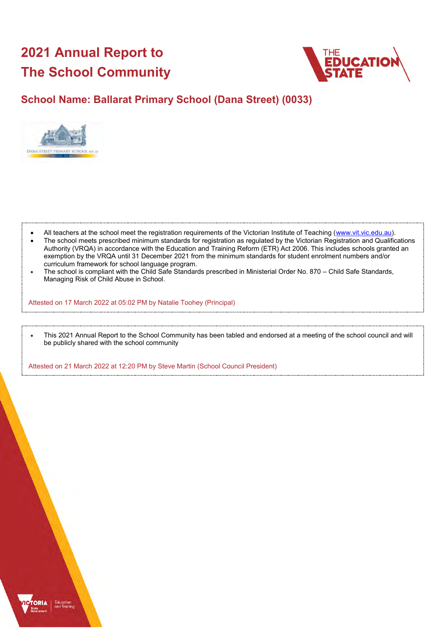# **2021 Annual Report to The School Community**



# **School Name: Ballarat Primary School (Dana Street) (0033)**



- All teachers at the school meet the registration requirements of the Victorian Institute of Teaching [\(www.vit.vic.edu.au\)](https://www.vit.vic.edu.au/).
- The school meets prescribed minimum standards for registration as regulated by the Victorian Registration and Qualifications Authority (VRQA) in accordance with the Education and Training Reform (ETR) Act 2006. This includes schools granted an exemption by the VRQA until 31 December 2021 from the minimum standards for student enrolment numbers and/or curriculum framework for school language program.
- The school is compliant with the Child Safe Standards prescribed in Ministerial Order No. 870 Child Safe Standards, Managing Risk of Child Abuse in School.

Attested on 17 March 2022 at 05:02 PM by Natalie Toohey (Principal)

• This 2021 Annual Report to the School Community has been tabled and endorsed at a meeting of the school council and will be publicly shared with the school community

Attested on 21 March 2022 at 12:20 PM by Steve Martin (School Council President)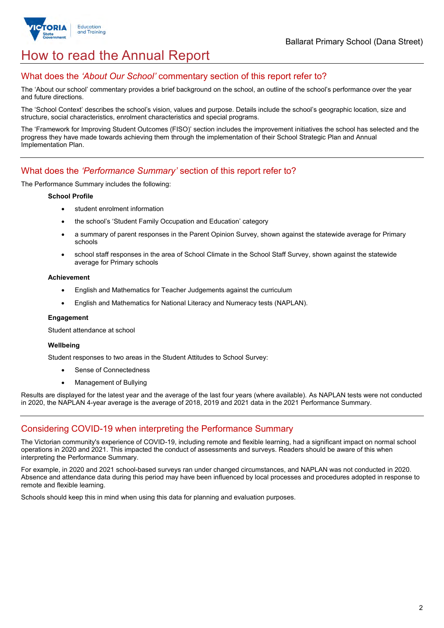

# How to read the Annual Report

### What does the *'About Our School'* commentary section of this report refer to?

The 'About our school' commentary provides a brief background on the school, an outline of the school's performance over the year and future directions.

The 'School Context' describes the school's vision, values and purpose. Details include the school's geographic location, size and structure, social characteristics, enrolment characteristics and special programs.

The 'Framework for Improving Student Outcomes (FISO)' section includes the improvement initiatives the school has selected and the progress they have made towards achieving them through the implementation of their School Strategic Plan and Annual Implementation Plan.

### What does the *'Performance Summary'* section of this report refer to?

The Performance Summary includes the following:

#### **School Profile**

- student enrolment information
- the school's 'Student Family Occupation and Education' category
- a summary of parent responses in the Parent Opinion Survey, shown against the statewide average for Primary schools
- school staff responses in the area of School Climate in the School Staff Survey, shown against the statewide average for Primary schools

#### **Achievement**

- English and Mathematics for Teacher Judgements against the curriculum
- English and Mathematics for National Literacy and Numeracy tests (NAPLAN).

### **Engagement**

Student attendance at school

### **Wellbeing**

Student responses to two areas in the Student Attitudes to School Survey:

- Sense of Connectedness
- Management of Bullying

Results are displayed for the latest year and the average of the last four years (where available). As NAPLAN tests were not conducted in 2020, the NAPLAN 4-year average is the average of 2018, 2019 and 2021 data in the 2021 Performance Summary.

## Considering COVID-19 when interpreting the Performance Summary

The Victorian community's experience of COVID-19, including remote and flexible learning, had a significant impact on normal school operations in 2020 and 2021. This impacted the conduct of assessments and surveys. Readers should be aware of this when interpreting the Performance Summary.

For example, in 2020 and 2021 school-based surveys ran under changed circumstances, and NAPLAN was not conducted in 2020. Absence and attendance data during this period may have been influenced by local processes and procedures adopted in response to remote and flexible learning.

Schools should keep this in mind when using this data for planning and evaluation purposes.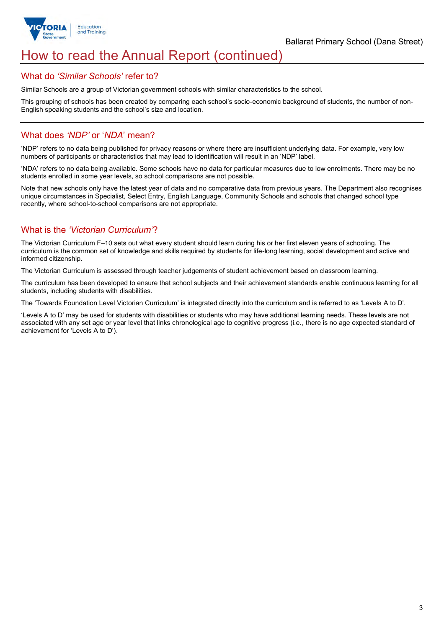

# How to read the Annual Report (continued)

### What do *'Similar Schools'* refer to?

Similar Schools are a group of Victorian government schools with similar characteristics to the school.

This grouping of schools has been created by comparing each school's socio-economic background of students, the number of non-English speaking students and the school's size and location.

## What does *'NDP'* or '*NDA*' mean?

'NDP' refers to no data being published for privacy reasons or where there are insufficient underlying data. For example, very low numbers of participants or characteristics that may lead to identification will result in an 'NDP' label.

'NDA' refers to no data being available. Some schools have no data for particular measures due to low enrolments. There may be no students enrolled in some year levels, so school comparisons are not possible.

Note that new schools only have the latest year of data and no comparative data from previous years. The Department also recognises unique circumstances in Specialist, Select Entry, English Language, Community Schools and schools that changed school type recently, where school-to-school comparisons are not appropriate.

## What is the *'Victorian Curriculum'*?

The Victorian Curriculum F–10 sets out what every student should learn during his or her first eleven years of schooling. The curriculum is the common set of knowledge and skills required by students for life-long learning, social development and active and informed citizenship.

The Victorian Curriculum is assessed through teacher judgements of student achievement based on classroom learning.

The curriculum has been developed to ensure that school subjects and their achievement standards enable continuous learning for all students, including students with disabilities.

The 'Towards Foundation Level Victorian Curriculum' is integrated directly into the curriculum and is referred to as 'Levels A to D'.

'Levels A to D' may be used for students with disabilities or students who may have additional learning needs. These levels are not associated with any set age or year level that links chronological age to cognitive progress (i.e., there is no age expected standard of achievement for 'Levels A to D').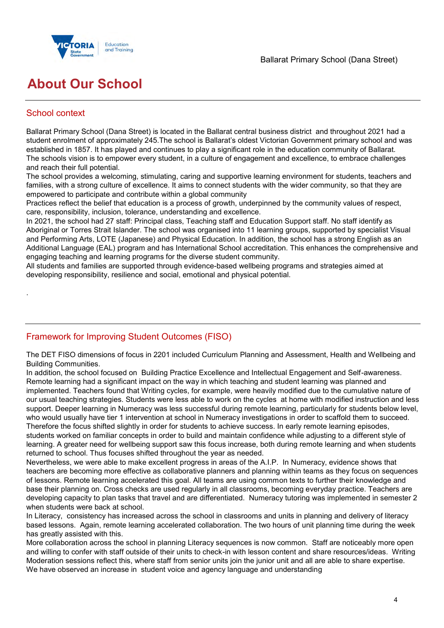

# **About Our School**

## School context

.

Ballarat Primary School (Dana Street) is located in the Ballarat central business district and throughout 2021 had a student enrolment of approximately 245.The school is Ballarat's oldest Victorian Government primary school and was established in 1857. It has played and continues to play a significant role in the education community of Ballarat. The schools vision is to empower every student, in a culture of engagement and excellence, to embrace challenges and reach their full potential.

The school provides a welcoming, stimulating, caring and supportive learning environment for students, teachers and families, with a strong culture of excellence. It aims to connect students with the wider community, so that they are empowered to participate and contribute within a global community

Practices reflect the belief that education is a process of growth, underpinned by the community values of respect, care, responsibility, inclusion, tolerance, understanding and excellence.

In 2021, the school had 27 staff: Principal class, Teaching staff and Education Support staff. No staff identify as Aboriginal or Torres Strait Islander. The school was organised into 11 learning groups, supported by specialist Visual and Performing Arts, LOTE (Japanese) and Physical Education. In addition, the school has a strong English as an Additional Language (EAL) program and has International School accreditation. This enhances the comprehensive and engaging teaching and learning programs for the diverse student community.

All students and families are supported through evidence-based wellbeing programs and strategies aimed at developing responsibility, resilience and social, emotional and physical potential.

# Framework for Improving Student Outcomes (FISO)

The DET FISO dimensions of focus in 2201 included Curriculum Planning and Assessment, Health and Wellbeing and Building Communities.

In addition, the school focused on Building Practice Excellence and Intellectual Engagement and Self-awareness. Remote learning had a significant impact on the way in which teaching and student learning was planned and implemented. Teachers found that Writing cycles, for example, were heavily modified due to the cumulative nature of our usual teaching strategies. Students were less able to work on the cycles at home with modified instruction and less support. Deeper learning in Numeracy was less successful during remote learning, particularly for students below level, who would usually have tier 1 intervention at school in Numeracy investigations in order to scaffold them to succeed. Therefore the focus shifted slightly in order for students to achieve success. In early remote learning episodes, students worked on familiar concepts in order to build and maintain confidence while adjusting to a different style of learning. A greater need for wellbeing support saw this focus increase, both during remote learning and when students returned to school. Thus focuses shifted throughout the year as needed.

Nevertheless, we were able to make excellent progress in areas of the A.I.P. In Numeracy, evidence shows that teachers are becoming more effective as collaborative planners and planning within teams as they focus on sequences of lessons. Remote learning accelerated this goal. All teams are using common texts to further their knowledge and base their planning on. Cross checks are used regularly in all classrooms, becoming everyday practice. Teachers are developing capacity to plan tasks that travel and are differentiated. Numeracy tutoring was implemented in semester 2 when students were back at school.

In Literacy, consistency has increased across the school in classrooms and units in planning and delivery of literacy based lessons. Again, remote learning accelerated collaboration. The two hours of unit planning time during the week has greatly assisted with this.

More collaboration across the school in planning Literacy sequences is now common. Staff are noticeably more open and willing to confer with staff outside of their units to check-in with lesson content and share resources/ideas. Writing Moderation sessions reflect this, where staff from senior units join the junior unit and all are able to share expertise. We have observed an increase in student voice and agency language and understanding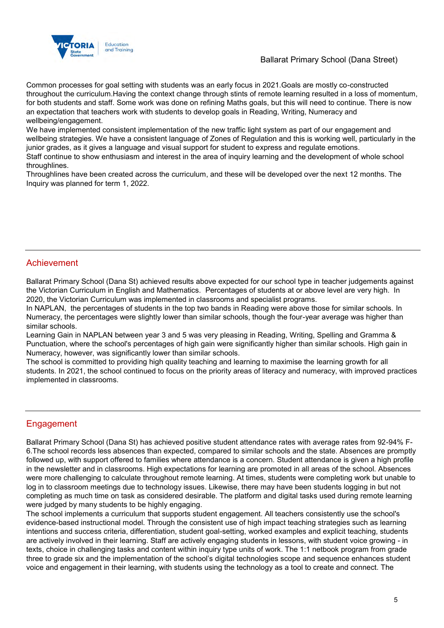

### Ballarat Primary School (Dana Street)

Common processes for goal setting with students was an early focus in 2021.Goals are mostly co-constructed throughout the curriculum.Having the context change through stints of remote learning resulted in a loss of momentum, for both students and staff. Some work was done on refining Maths goals, but this will need to continue. There is now an expectation that teachers work with students to develop goals in Reading, Writing, Numeracy and wellbeing/engagement.

We have implemented consistent implementation of the new traffic light system as part of our engagement and wellbeing strategies. We have a consistent language of Zones of Regulation and this is working well, particularly in the junior grades, as it gives a language and visual support for student to express and regulate emotions.

Staff continue to show enthusiasm and interest in the area of inquiry learning and the development of whole school throughlines.

Throughlines have been created across the curriculum, and these will be developed over the next 12 months. The Inquiry was planned for term 1, 2022.

### Achievement

Ballarat Primary School (Dana St) achieved results above expected for our school type in teacher judgements against the Victorian Curriculum in English and Mathematics. Percentages of students at or above level are very high. In 2020, the Victorian Curriculum was implemented in classrooms and specialist programs.

In NAPLAN, the percentages of students in the top two bands in Reading were above those for similar schools. In Numeracy, the percentages were slightly lower than similar schools, though the four-year average was higher than similar schools.

Learning Gain in NAPLAN between year 3 and 5 was very pleasing in Reading, Writing, Spelling and Gramma & Punctuation, where the school's percentages of high gain were significantly higher than similar schools. High gain in Numeracy, however, was significantly lower than similar schools.

The school is committed to providing high quality teaching and learning to maximise the learning growth for all students. In 2021, the school continued to focus on the priority areas of literacy and numeracy, with improved practices implemented in classrooms.

## Engagement

Ballarat Primary School (Dana St) has achieved positive student attendance rates with average rates from 92-94% F-6.The school records less absences than expected, compared to similar schools and the state. Absences are promptly followed up, with support offered to families where attendance is a concern. Student attendance is given a high profile in the newsletter and in classrooms. High expectations for learning are promoted in all areas of the school. Absences were more challenging to calculate throughout remote learning. At times, students were completing work but unable to log in to classroom meetings due to technology issues. Likewise, there may have been students logging in but not completing as much time on task as considered desirable. The platform and digital tasks used during remote learning were judged by many students to be highly engaging.

The school implements a curriculum that supports student engagement. All teachers consistently use the school's evidence-based instructional model. Through the consistent use of high impact teaching strategies such as learning intentions and success criteria, differentiation, student goal-setting, worked examples and explicit teaching, students are actively involved in their learning. Staff are actively engaging students in lessons, with student voice growing - in texts, choice in challenging tasks and content within inquiry type units of work. The 1:1 netbook program from grade three to grade six and the implementation of the school's digital technologies scope and sequence enhances student voice and engagement in their learning, with students using the technology as a tool to create and connect. The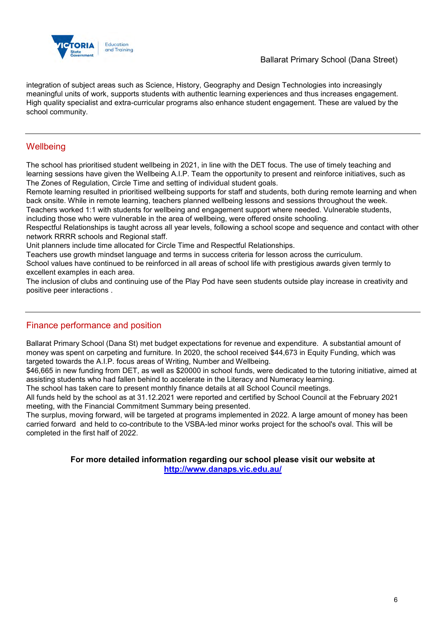

integration of subject areas such as Science, History, Geography and Design Technologies into increasingly meaningful units of work, supports students with authentic learning experiences and thus increases engagement. High quality specialist and extra-curricular programs also enhance student engagement. These are valued by the school community.

## **Wellbeing**

The school has prioritised student wellbeing in 2021, in line with the DET focus. The use of timely teaching and learning sessions have given the Wellbeing A.I.P. Team the opportunity to present and reinforce initiatives, such as The Zones of Regulation, Circle Time and setting of individual student goals.

Remote learning resulted in prioritised wellbeing supports for staff and students, both during remote learning and when back onsite. While in remote learning, teachers planned wellbeing lessons and sessions throughout the week.

Teachers worked 1:1 with students for wellbeing and engagement support where needed. Vulnerable students,

including those who were vulnerable in the area of wellbeing, were offered onsite schooling.

Respectful Relationships is taught across all year levels, following a school scope and sequence and contact with other network RRRR schools and Regional staff.

Unit planners include time allocated for Circle Time and Respectful Relationships.

Teachers use growth mindset language and terms in success criteria for lesson across the curriculum.

School values have continued to be reinforced in all areas of school life with prestigious awards given termly to excellent examples in each area.

The inclusion of clubs and continuing use of the Play Pod have seen students outside play increase in creativity and positive peer interactions .

## Finance performance and position

Ballarat Primary School (Dana St) met budget expectations for revenue and expenditure. A substantial amount of money was spent on carpeting and furniture. In 2020, the school received \$44,673 in Equity Funding, which was targeted towards the A.I.P. focus areas of Writing, Number and Wellbeing.

\$46,665 in new funding from DET, as well as \$20000 in school funds, were dedicated to the tutoring initiative, aimed at assisting students who had fallen behind to accelerate in the Literacy and Numeracy learning.

The school has taken care to present monthly finance details at all School Council meetings.

All funds held by the school as at 31.12.2021 were reported and certified by School Council at the February 2021 meeting, with the Financial Commitment Summary being presented.

The surplus, moving forward, will be targeted at programs implemented in 2022. A large amount of money has been carried forward and held to co-contribute to the VSBA-led minor works project for the school's oval. This will be completed in the first half of 2022.

### **For more detailed information regarding our school please visit our website at <http://www.danaps.vic.edu.au/>**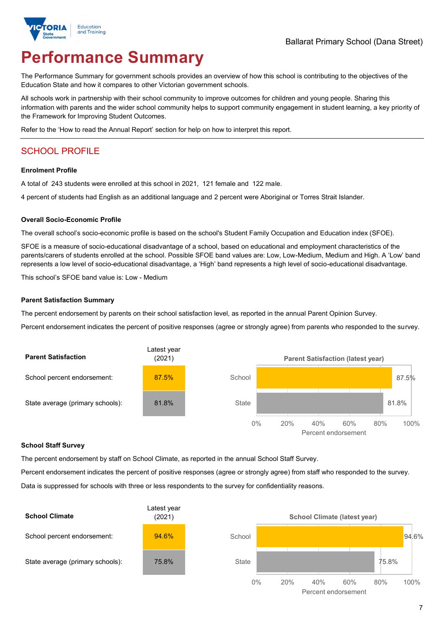

# **Performance Summary**

The Performance Summary for government schools provides an overview of how this school is contributing to the objectives of the Education State and how it compares to other Victorian government schools.

All schools work in partnership with their school community to improve outcomes for children and young people. Sharing this information with parents and the wider school community helps to support community engagement in student learning, a key priority of the Framework for Improving Student Outcomes.

Refer to the 'How to read the Annual Report' section for help on how to interpret this report.

# SCHOOL PROFILE

#### **Enrolment Profile**

A total of 243 students were enrolled at this school in 2021, 121 female and 122 male.

4 percent of students had English as an additional language and 2 percent were Aboriginal or Torres Strait Islander.

#### **Overall Socio-Economic Profile**

The overall school's socio-economic profile is based on the school's Student Family Occupation and Education index (SFOE).

SFOE is a measure of socio-educational disadvantage of a school, based on educational and employment characteristics of the parents/carers of students enrolled at the school. Possible SFOE band values are: Low, Low-Medium, Medium and High. A 'Low' band represents a low level of socio-educational disadvantage, a 'High' band represents a high level of socio-educational disadvantage.

This school's SFOE band value is: Low - Medium

### **Parent Satisfaction Summary**

The percent endorsement by parents on their school satisfaction level, as reported in the annual Parent Opinion Survey.

Percent endorsement indicates the percent of positive responses (agree or strongly agree) from parents who responded to the survey.



### **School Staff Survey**

The percent endorsement by staff on School Climate, as reported in the annual School Staff Survey.

Percent endorsement indicates the percent of positive responses (agree or strongly agree) from staff who responded to the survey.

Data is suppressed for schools with three or less respondents to the survey for confidentiality reasons.

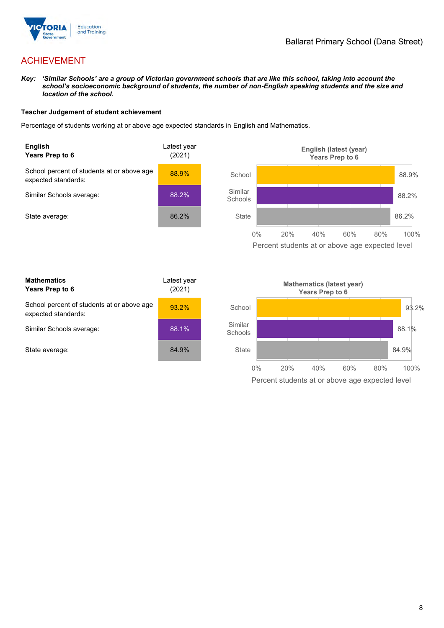

# ACHIEVEMENT

*Key: 'Similar Schools' are a group of Victorian government schools that are like this school, taking into account the school's socioeconomic background of students, the number of non-English speaking students and the size and location of the school.*

### **Teacher Judgement of student achievement**

Percentage of students working at or above age expected standards in English and Mathematics.



Percent students at or above age expected level

| <b>Mathematics</b><br>Years Prep to 6                             | Latest year<br>(2021) |
|-------------------------------------------------------------------|-----------------------|
| School percent of students at or above age<br>expected standards: | $93.2\%$              |
| Similar Schools average:                                          | 88.1%                 |
| State average:                                                    | 84.9%                 |

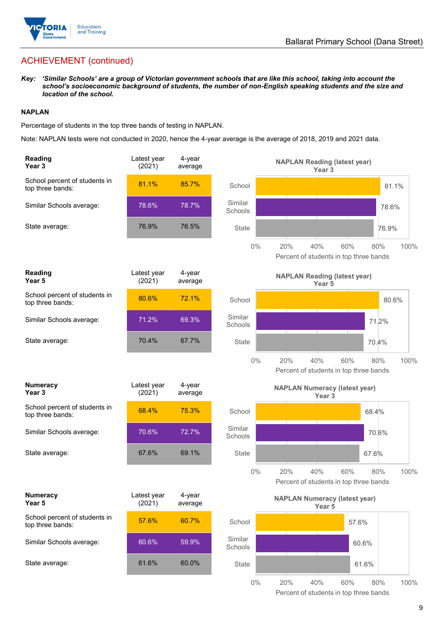

# ACHIEVEMENT (continued)

*Key: 'Similar Schools' are a group of Victorian government schools that are like this school, taking into account the school's socioeconomic background of students, the number of non-English speaking students and the size and location of the school.*

### **NAPLAN**

Percentage of students in the top three bands of testing in NAPLAN.

Note: NAPLAN tests were not conducted in 2020, hence the 4-year average is the average of 2018, 2019 and 2021 data.

| Reading<br>Year <sub>3</sub>                      | Latest year<br>(2021) | 4-year<br>average |                    | <b>NAPLAN Reading (latest year)</b><br>Year <sub>3</sub>  |                                                      |       |
|---------------------------------------------------|-----------------------|-------------------|--------------------|-----------------------------------------------------------|------------------------------------------------------|-------|
| School percent of students in<br>top three bands: | 81.1%                 | 85.7%             | School             |                                                           |                                                      | 81.1% |
| Similar Schools average:                          | 78.6%                 | 78.7%             | Similar<br>Schools |                                                           |                                                      | 78.6% |
| State average:                                    | 76.9%                 | 76.5%             | <b>State</b>       |                                                           |                                                      | 76.9% |
|                                                   |                       |                   | $0\%$              | 20%<br>40%                                                | 60%<br>80%<br>Percent of students in top three bands | 100%  |
| <b>Reading</b><br>Year <sub>5</sub>               | Latest year<br>(2021) | 4-year<br>average |                    | <b>NAPLAN Reading (latest year)</b><br>Year <sub>5</sub>  |                                                      |       |
| School percent of students in<br>top three bands: | 80.6%                 | 72.1%             | School             |                                                           |                                                      | 80.6% |
| Similar Schools average:                          | 71.2%                 | 69.3%             | Similar<br>Schools |                                                           | 71.2%                                                |       |
| State average:                                    | 70.4%                 | 67.7%             | <b>State</b>       |                                                           | 70.4%                                                |       |
|                                                   |                       |                   | $0\%$              | 20%<br>40%                                                | 60%<br>80%<br>Percent of students in top three bands | 100%  |
|                                                   |                       |                   |                    |                                                           |                                                      |       |
| <b>Numeracy</b><br>Year <sub>3</sub>              | Latest year<br>(2021) | 4-year<br>average |                    | <b>NAPLAN Numeracy (latest year)</b><br>Year <sub>3</sub> |                                                      |       |
| School percent of students in<br>top three bands: | 68.4%                 | 75.3%             | School             |                                                           | 68.4%                                                |       |
| Similar Schools average:                          | 70.6%                 | 72.7%             | Similar<br>Schools |                                                           | 70.6%                                                |       |
| State average:                                    | 67.6%                 | 69.1%             | State              |                                                           | 67.6%                                                |       |
|                                                   |                       |                   | $0\%$              | 40%<br>20%                                                | 60%<br>80%<br>Percent of students in top three bands | 100%  |
| <b>Numeracy</b><br>Year 5                         | Latest year<br>(2021) | 4-year<br>average |                    | <b>NAPLAN Numeracy (latest year)</b><br>Year 5            |                                                      |       |
| School percent of students in<br>top three bands: | 57.6%                 | 60.7%             | School             |                                                           | 57.6%                                                |       |
| Similar Schools average:                          | 60.6%                 | 59.9%             | Similar<br>Schools |                                                           | 60.6%                                                |       |
| State average:                                    | 61.6%                 | 60.0%             | State              |                                                           | 61.6%                                                |       |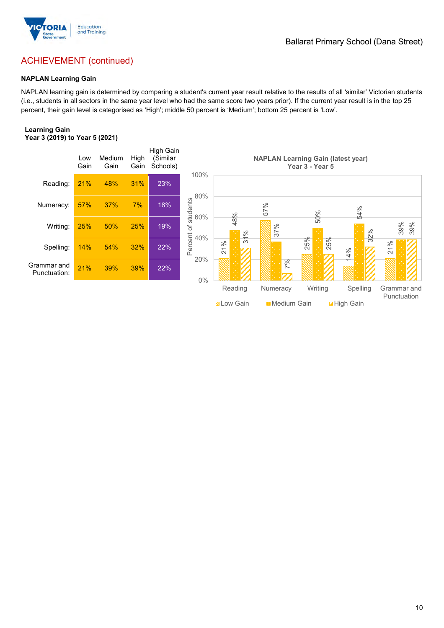

### Ballarat Primary School (Dana Street)

# ACHIEVEMENT (continued)

### **NAPLAN Learning Gain**

NAPLAN learning gain is determined by comparing a student's current year result relative to the results of all 'similar' Victorian students (i.e., students in all sectors in the same year level who had the same score two years prior). If the current year result is in the top 25 percent, their gain level is categorised as 'High'; middle 50 percent is 'Medium'; bottom 25 percent is 'Low'.

#### **Learning Gain Year 3 (2019) to Year 5 (2021)**

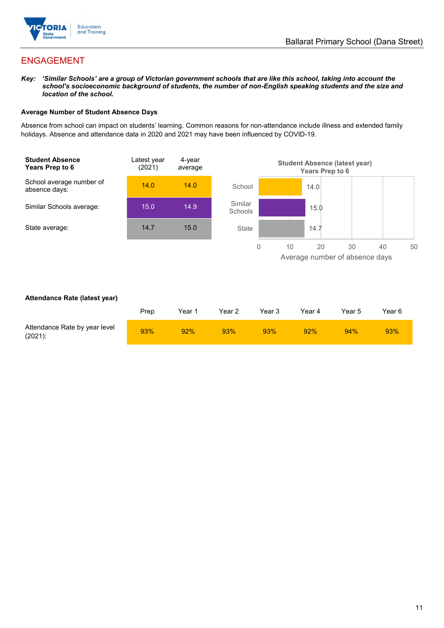

# ENGAGEMENT

*Key: 'Similar Schools' are a group of Victorian government schools that are like this school, taking into account the school's socioeconomic background of students, the number of non-English speaking students and the size and location of the school.*

### **Average Number of Student Absence Days**

Absence from school can impact on students' learning. Common reasons for non-attendance include illness and extended family holidays. Absence and attendance data in 2020 and 2021 may have been influenced by COVID-19.



### **Attendance Rate (latest year)**

|                                             | Prep | Year 1 | Year 2 | Year 3 | Year 4 | Year 5 | Year 6 |
|---------------------------------------------|------|--------|--------|--------|--------|--------|--------|
| Attendance Rate by year level<br>$(2021)$ : | 93%  | 92%    | 93%    | 93%    | 92%    | 94%    | 93%    |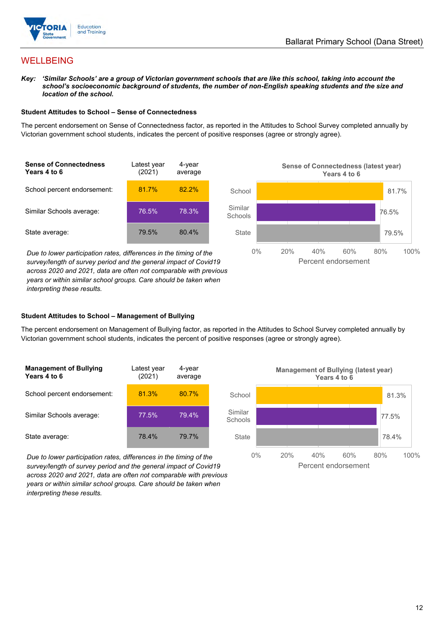

## **WELLBEING**

*Key: 'Similar Schools' are a group of Victorian government schools that are like this school, taking into account the school's socioeconomic background of students, the number of non-English speaking students and the size and location of the school.*

### **Student Attitudes to School – Sense of Connectedness**

The percent endorsement on Sense of Connectedness factor, as reported in the Attitudes to School Survey completed annually by Victorian government school students, indicates the percent of positive responses (agree or strongly agree).



*Due to lower participation rates, differences in the timing of the survey/length of survey period and the general impact of Covid19 across 2020 and 2021, data are often not comparable with previous years or within similar school groups. Care should be taken when interpreting these results.*



### **Student Attitudes to School – Management of Bullying**

The percent endorsement on Management of Bullying factor, as reported in the Attitudes to School Survey completed annually by Victorian government school students, indicates the percent of positive responses (agree or strongly agree).

| <b>Management of Bullying</b><br>Years 4 to 6 | Latest year<br>(2021) | 4-year<br>average |  |
|-----------------------------------------------|-----------------------|-------------------|--|
| School percent endorsement:                   | 81.3%                 | 80.7%             |  |
| Similar Schools average:                      | 77.5%                 | 79.4%             |  |
| State average:                                | 78.4%                 | 79.7%             |  |

*Due to lower participation rates, differences in the timing of the survey/length of survey period and the general impact of Covid19 across 2020 and 2021, data are often not comparable with previous years or within similar school groups. Care should be taken when interpreting these results.*

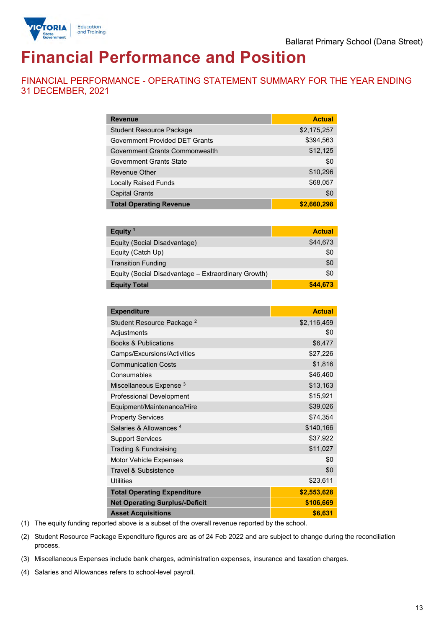

# **Financial Performance and Position**

FINANCIAL PERFORMANCE - OPERATING STATEMENT SUMMARY FOR THE YEAR ENDING 31 DECEMBER, 2021

| <b>Revenue</b>                  | <b>Actual</b> |
|---------------------------------|---------------|
| <b>Student Resource Package</b> | \$2,175,257   |
| Government Provided DET Grants  | \$394,563     |
| Government Grants Commonwealth  | \$12,125      |
| Government Grants State         | \$0           |
| Revenue Other                   | \$10,296      |
| <b>Locally Raised Funds</b>     | \$68,057      |
| <b>Capital Grants</b>           | \$0           |
| <b>Total Operating Revenue</b>  | \$2,660,298   |

| Equity <sup>1</sup>                                 | <b>Actual</b> |
|-----------------------------------------------------|---------------|
| Equity (Social Disadvantage)                        | \$44,673      |
| Equity (Catch Up)                                   | \$0           |
| <b>Transition Funding</b>                           | \$0           |
| Equity (Social Disadvantage - Extraordinary Growth) | \$0           |
| <b>Equity Total</b>                                 | \$44,673      |

| <b>Expenditure</b>                    | <b>Actual</b> |
|---------------------------------------|---------------|
| Student Resource Package <sup>2</sup> | \$2,116,459   |
| Adjustments                           | \$0           |
| <b>Books &amp; Publications</b>       | \$6,477       |
| Camps/Excursions/Activities           | \$27,226      |
| <b>Communication Costs</b>            | \$1,816       |
| Consumables                           | \$46,460      |
| Miscellaneous Expense <sup>3</sup>    | \$13,163      |
| <b>Professional Development</b>       | \$15,921      |
| Equipment/Maintenance/Hire            | \$39,026      |
| <b>Property Services</b>              | \$74,354      |
| Salaries & Allowances <sup>4</sup>    | \$140,166     |
| <b>Support Services</b>               | \$37,922      |
| Trading & Fundraising                 | \$11,027      |
| <b>Motor Vehicle Expenses</b>         | \$0           |
| Travel & Subsistence                  | \$0           |
| <b>Utilities</b>                      | \$23,611      |
| <b>Total Operating Expenditure</b>    | \$2,553,628   |
| <b>Net Operating Surplus/-Deficit</b> | \$106,669     |
| <b>Asset Acquisitions</b>             | \$6,631       |

(1) The equity funding reported above is a subset of the overall revenue reported by the school.

(2) Student Resource Package Expenditure figures are as of 24 Feb 2022 and are subject to change during the reconciliation process.

(3) Miscellaneous Expenses include bank charges, administration expenses, insurance and taxation charges.

(4) Salaries and Allowances refers to school-level payroll.